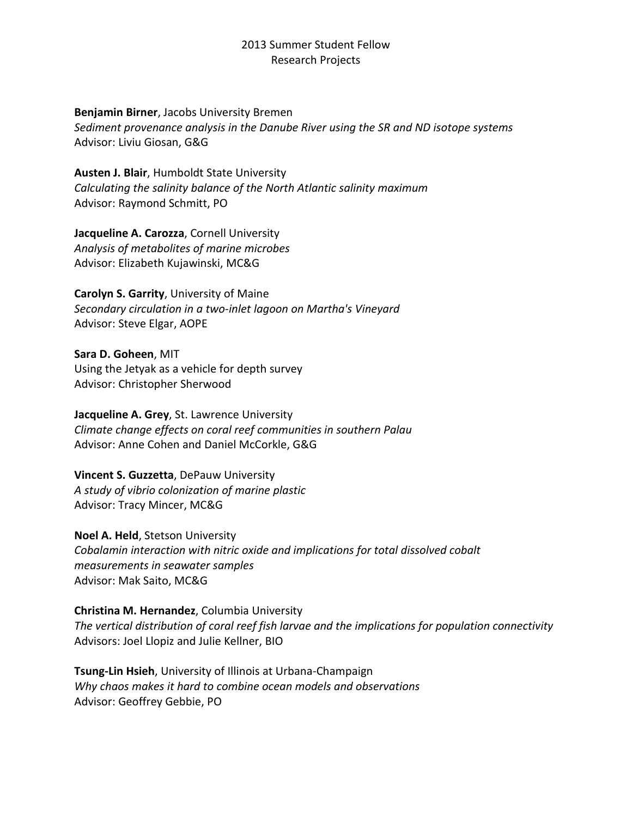#### **Benjamin Birner**, Jacobs University Bremen

*Sediment provenance analysis in the Danube River using the SR and ND isotope systems* Advisor: Liviu Giosan, G&G

**Austen J. Blair**, Humboldt State University *Calculating the salinity balance of the North Atlantic salinity maximum* Advisor: Raymond Schmitt, PO

**Jacqueline A. Carozza**, Cornell University *Analysis of metabolites of marine microbes* Advisor: Elizabeth Kujawinski, MC&G

**Carolyn S. Garrity**, University of Maine *Secondary circulation in a two-inlet lagoon on Martha's Vineyard* Advisor: Steve Elgar, AOPE

**Sara D. Goheen**, MIT Using the Jetyak as a vehicle for depth survey Advisor: Christopher Sherwood

**Jacqueline A. Grey**, St. Lawrence University *Climate change effects on coral reef communities in southern Palau* Advisor: Anne Cohen and Daniel McCorkle, G&G

**Vincent S. Guzzetta**, DePauw University *A study of vibrio colonization of marine plastic* Advisor: Tracy Mincer, MC&G

**Noel A. Held**, Stetson University *Cobalamin interaction with nitric oxide and implications for total dissolved cobalt measurements in seawater samples* Advisor: Mak Saito, MC&G

**Christina M. Hernandez**, Columbia University *The vertical distribution of coral reef fish larvae and the implications for population connectivity* Advisors: Joel Llopiz and Julie Kellner, BIO

**Tsung-Lin Hsieh**, University of Illinois at Urbana-Champaign *Why chaos makes it hard to combine ocean models and observations* Advisor: Geoffrey Gebbie, PO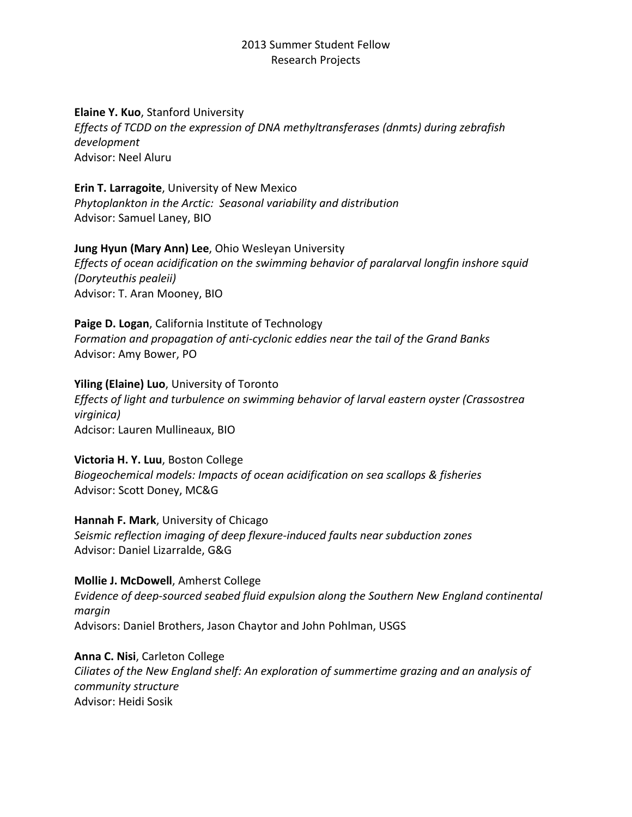#### **Elaine Y. Kuo**, Stanford University

*Effects of TCDD on the expression of DNA methyltransferases (dnmts) during zebrafish development* Advisor: Neel Aluru

**Erin T. Larragoite**, University of New Mexico

*Phytoplankton in the Arctic: Seasonal variability and distribution* Advisor: Samuel Laney, BIO

## **Jung Hyun (Mary Ann) Lee**, Ohio Wesleyan University

*Effects of ocean acidification on the swimming behavior of paralarval longfin inshore squid (Doryteuthis pealeii)* Advisor: T. Aran Mooney, BIO

**Paige D. Logan**, California Institute of Technology *Formation and propagation of anti-cyclonic eddies near the tail of the Grand Banks* Advisor: Amy Bower, PO

**Yiling (Elaine) Luo**, University of Toronto *Effects of light and turbulence on swimming behavior of larval eastern oyster (Crassostrea virginica)* Adcisor: Lauren Mullineaux, BIO

**Victoria H. Y. Luu**, Boston College *Biogeochemical models: Impacts of ocean acidification on sea scallops & fisheries* Advisor: Scott Doney, MC&G

**Hannah F. Mark**, University of Chicago *Seismic reflection imaging of deep flexure-induced faults near subduction zones* Advisor: Daniel Lizarralde, G&G

**Mollie J. McDowell**, Amherst College *Evidence of deep-sourced seabed fluid expulsion along the Southern New England continental margin* Advisors: Daniel Brothers, Jason Chaytor and John Pohlman, USGS

**Anna C. Nisi**, Carleton College *Ciliates of the New England shelf: An exploration of summertime grazing and an analysis of community structure* Advisor: Heidi Sosik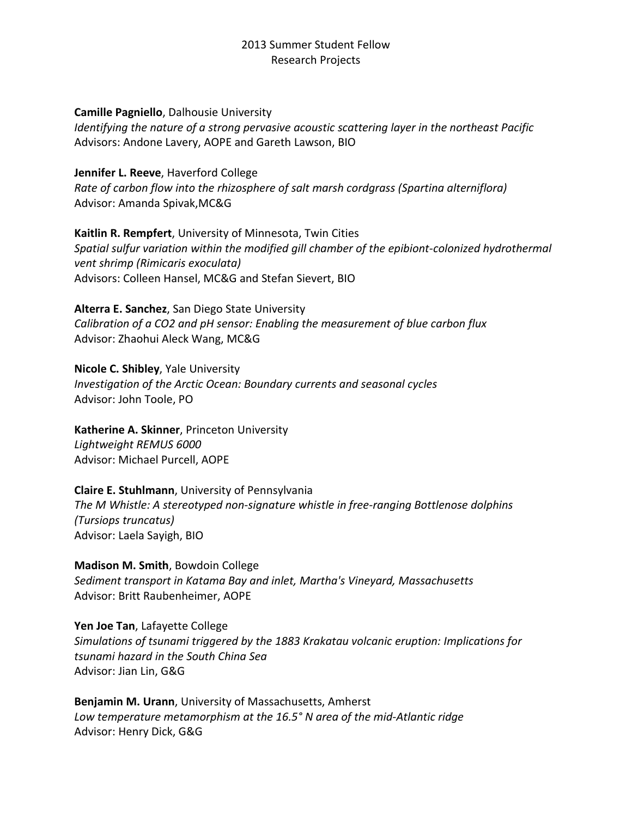#### **Camille Pagniello**, Dalhousie University

*Identifying the nature of a strong pervasive acoustic scattering layer in the northeast Pacific* Advisors: Andone Lavery, AOPE and Gareth Lawson, BIO

**Jennifer L. Reeve**, Haverford College *Rate of carbon flow into the rhizosphere of salt marsh cordgrass (Spartina alterniflora)* Advisor: Amanda Spivak,MC&G

**Kaitlin R. Rempfert**, University of Minnesota, Twin Cities *Spatial sulfur variation within the modified gill chamber of the epibiont-colonized hydrothermal vent shrimp (Rimicaris exoculata)* Advisors: Colleen Hansel, MC&G and Stefan Sievert, BIO

**Alterra E. Sanchez**, San Diego State University *Calibration of a CO2 and pH sensor: Enabling the measurement of blue carbon flux* Advisor: Zhaohui Aleck Wang, MC&G

**Nicole C. Shibley**, Yale University *Investigation of the Arctic Ocean: Boundary currents and seasonal cycles* Advisor: John Toole, PO

**Katherine A. Skinner**, Princeton University *Lightweight REMUS 6000* Advisor: Michael Purcell, AOPE

**Claire E. Stuhlmann**, University of Pennsylvania *The M Whistle: A stereotyped non-signature whistle in free-ranging Bottlenose dolphins (Tursiops truncatus)* Advisor: Laela Sayigh, BIO

**Madison M. Smith**, Bowdoin College *Sediment transport in Katama Bay and inlet, Martha's Vineyard, Massachusetts* Advisor: Britt Raubenheimer, AOPE

**Yen Joe Tan**, Lafayette College *Simulations of tsunami triggered by the 1883 Krakatau volcanic eruption: Implications for tsunami hazard in the South China Sea* Advisor: Jian Lin, G&G

**Benjamin M. Urann**, University of Massachusetts, Amherst *Low temperature metamorphism at the 16.5° N area of the mid-Atlantic ridge* Advisor: Henry Dick, G&G